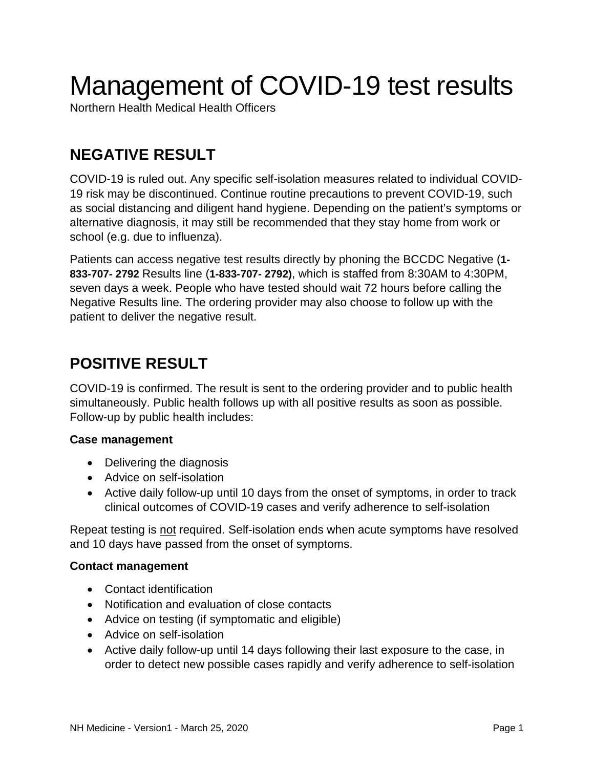# Management of COVID-19 test results

Northern Health Medical Health Officers

## **NEGATIVE RESULT**

COVID-19 is ruled out. Any specific self-isolation measures related to individual COVID-19 risk may be discontinued. Continue routine precautions to prevent COVID-19, such as social distancing and diligent hand hygiene. Depending on the patient's symptoms or alternative diagnosis, it may still be recommended that they stay home from work or school (e.g. due to influenza).

Patients can access negative test results directly by phoning the BCCDC Negative (**1- 833-707- 2792** Results line (**1-833-707- 2792)**, which is staffed from 8:30AM to 4:30PM, seven days a week. People who have tested should wait 72 hours before calling the Negative Results line. The ordering provider may also choose to follow up with the patient to deliver the negative result.

### **POSITIVE RESULT**

COVID-19 is confirmed. The result is sent to the ordering provider and to public health simultaneously. Public health follows up with all positive results as soon as possible. Follow-up by public health includes:

#### **Case management**

- Delivering the diagnosis
- Advice on self-isolation
- Active daily follow-up until 10 days from the onset of symptoms, in order to track clinical outcomes of COVID-19 cases and verify adherence to self-isolation

Repeat testing is not required. Self-isolation ends when acute symptoms have resolved and 10 days have passed from the onset of symptoms.

#### **Contact management**

- Contact identification
- Notification and evaluation of close contacts
- Advice on testing (if symptomatic and eligible)
- Advice on self-isolation
- Active daily follow-up until 14 days following their last exposure to the case, in order to detect new possible cases rapidly and verify adherence to self-isolation